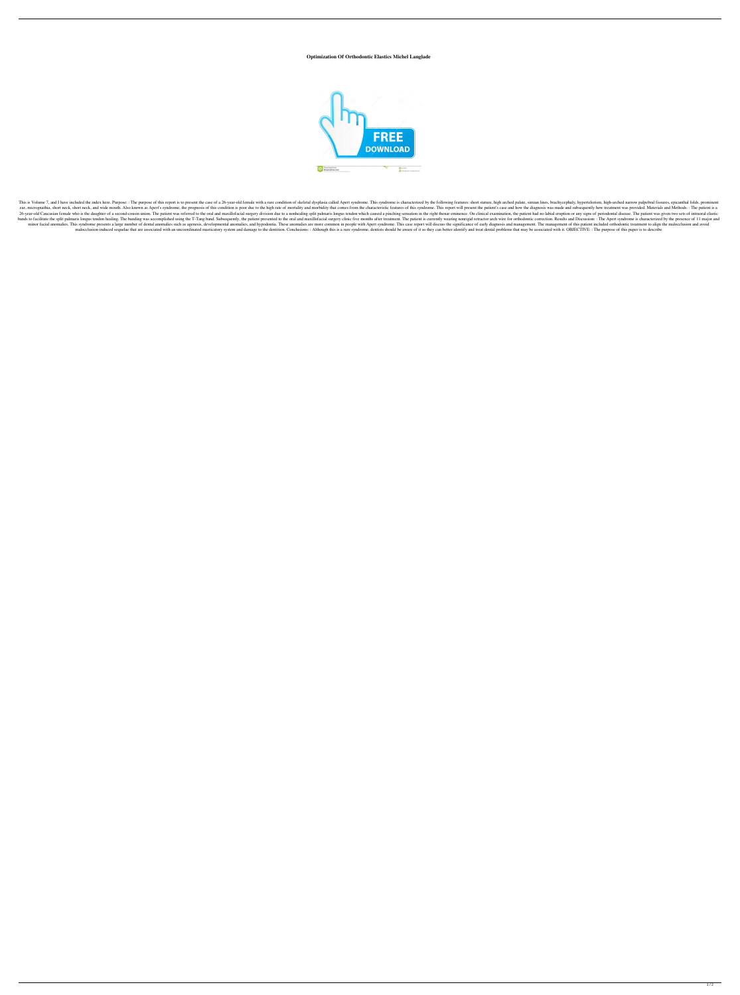## **Optimization Of Orthodontic Elastics Michel Langlade**



This is Volume 7, and I have included the index here. Purpose:: The purpose of this report is to present the case of a 26-year-old female with a rare condition of skeletal dysplasia called Apert syndrome. This syndrome is ear, micrognathia, short neck, and wide mouth. Also known as Apert's syndrome, the prognosis of this condition is poor due to the high rate of mortality and morbidity that comes from the characteristic features of this syn 26-year-old Caucasian female who is the daughter of a second-cousin union. The patient was referred to the oral and maxillofacial surgery division due to a nonhealing split palmaris longus tendon which caused a pinching se bands to facilitate the split palmaris longus tendon healing. The banding was accomplished using the T-Tang band. Subsequently, the patient presented to the oral and maxillofacial surgery clinic five months after treatment minor facial anomalies. This syndrome presents a large number of dental anomalies such as agenesis, developmental anomalies, and hypodontia. These anomalies are more common in people with Apert syndrome. This case report w malocclusion-induced sequelae that are associated with an uncoordinated masticatory system and damage to the dentition. Conclusions: : Although this is a rare syndrome, dentists should be aware of it so they can better ide